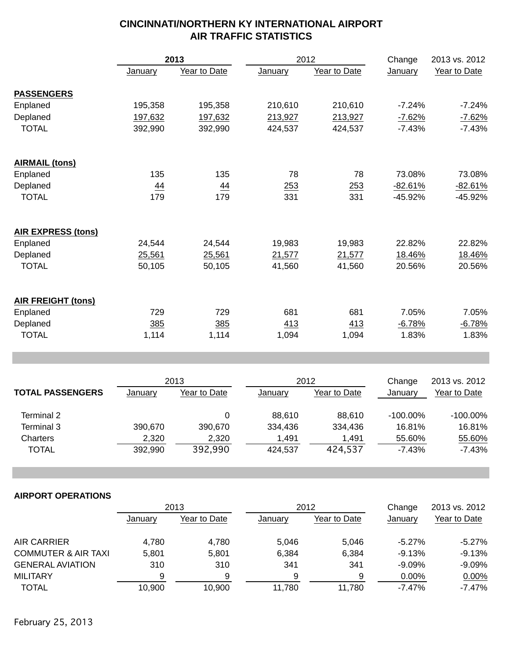|                           | 2013           |              |                | 2012         |             | 2013 vs. 2012 |
|---------------------------|----------------|--------------|----------------|--------------|-------------|---------------|
|                           | <b>January</b> | Year to Date | January        | Year to Date | January     | Year to Date  |
| <b>PASSENGERS</b>         |                |              |                |              |             |               |
| Enplaned                  | 195,358        | 195,358      | 210,610        | 210,610      | $-7.24%$    | $-7.24%$      |
| Deplaned                  | 197,632        | 197,632      | 213,927        | 213,927      | $-7.62%$    | $-7.62%$      |
| <b>TOTAL</b>              | 392,990        | 392,990      | 424,537        | 424,537      | $-7.43%$    | $-7.43%$      |
| <b>AIRMAIL (tons)</b>     |                |              |                |              |             |               |
| Enplaned                  | 135            | 135          | 78             | 78           | 73.08%      | 73.08%        |
| Deplaned                  | $\frac{44}{1}$ | 44           | 253            | 253          | $-82.61%$   | $-82.61%$     |
| <b>TOTAL</b>              | 179            | 179          | 331            | 331          | -45.92%     | -45.92%       |
| <b>AIR EXPRESS (tons)</b> |                |              |                |              |             |               |
| Enplaned                  | 24,544         | 24,544       | 19,983         | 19,983       | 22.82%      | 22.82%        |
| Deplaned                  | 25,561         | 25,561       | 21,577         | 21,577       | 18.46%      | 18.46%        |
| <b>TOTAL</b>              | 50,105         | 50,105       | 41,560         | 41,560       | 20.56%      | 20.56%        |
| <b>AIR FREIGHT (tons)</b> |                |              |                |              |             |               |
| Enplaned                  | 729            | 729          | 681            | 681          | 7.05%       | 7.05%         |
| Deplaned                  | 385            | 385          | 413            | 413          | $-6.78%$    | $-6.78%$      |
| <b>TOTAL</b>              | 1,114          | 1,114        | 1,094          | 1,094        | 1.83%       | 1.83%         |
|                           |                |              |                |              |             |               |
|                           |                | 2013         |                | 2012         |             | 2013 vs. 2012 |
| <b>TOTAL PASSENGERS</b>   | <b>January</b> | Year to Date | <b>January</b> | Year to Date | January     | Year to Date  |
| Terminal 2                |                | 0            | 88,610         | 88,610       | $-100.00\%$ | $-100.00\%$   |
| Terminal 3                | 390,670        | 390,670      | 334,436        | 334,436      | 16.81%      | 16.81%        |
| Charters                  | 2,320          | 2,320        | 1,491          | 1,491        | 55.60%      | 55.60%        |
| <b>TOTAL</b>              | 392,990        | 392,990      | 424,537        | 424,537      | $-7.43%$    | $-7.43%$      |
|                           |                |              |                |              |             |               |
| <b>AIRPORT OPERATIONS</b> |                |              |                |              |             |               |
|                           |                | 2013         |                | 2012         | Change      | 2013 vs. 2012 |
|                           | <b>January</b> | Year to Date | January        | Year to Date | January     | Year to Date  |
| <b>AIR CARRIER</b>        | 4,780          | 4,780        | 5,046          | 5,046        | $-5.27%$    | $-5.27%$      |
|                           |                |              |                |              |             |               |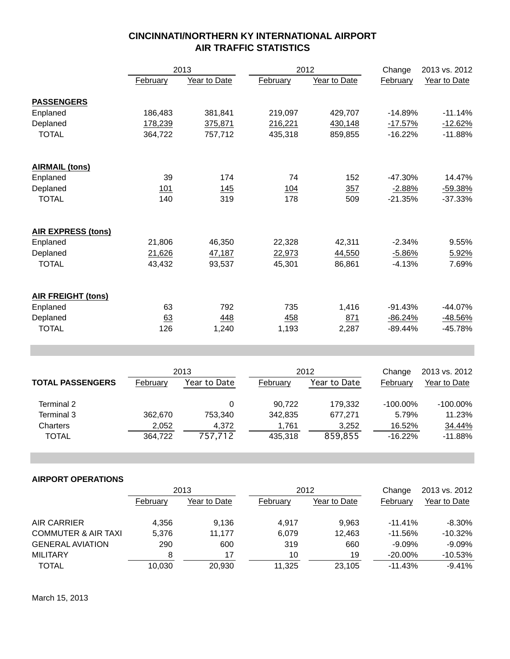|                           |          | 2013         |          | 2012         | Change    | 2013 vs. 2012 |
|---------------------------|----------|--------------|----------|--------------|-----------|---------------|
|                           | February | Year to Date | February | Year to Date | February  | Year to Date  |
| <b>PASSENGERS</b>         |          |              |          |              |           |               |
| Enplaned                  | 186,483  | 381,841      | 219,097  | 429,707      | $-14.89%$ | $-11.14%$     |
| Deplaned                  | 178,239  | 375,871      | 216,221  | 430,148      | $-17.57%$ | $-12.62%$     |
| <b>TOTAL</b>              | 364,722  | 757,712      | 435,318  | 859,855      | $-16.22%$ | $-11.88%$     |
|                           |          |              |          |              |           |               |
| <b>AIRMAIL (tons)</b>     |          |              |          |              |           |               |
| Enplaned                  | 39       | 174          | 74       | 152          | $-47.30%$ | 14.47%        |
| Deplaned                  | 101      | 145          | 104      | 357          | $-2.88%$  | $-59.38%$     |
| <b>TOTAL</b>              | 140      | 319          | 178      | 509          | $-21.35%$ | $-37.33%$     |
| <b>AIR EXPRESS (tons)</b> |          |              |          |              |           |               |
| Enplaned                  | 21,806   | 46,350       | 22,328   | 42,311       | $-2.34%$  | 9.55%         |
| Deplaned                  | 21,626   | 47,187       | 22,973   | 44,550       | $-5.86%$  | 5.92%         |
| <b>TOTAL</b>              | 43,432   | 93,537       | 45,301   | 86,861       | -4.13%    | 7.69%         |
|                           |          |              |          |              |           |               |
| <b>AIR FREIGHT (tons)</b> |          |              |          |              |           |               |
| Enplaned                  | 63       | 792          | 735      | 1,416        | $-91.43%$ | $-44.07%$     |
| Deplaned                  | 63       | 448          | 458      | 871          | $-86.24%$ | $-48.56%$     |
| <b>TOTAL</b>              | 126      | 1,240        | 1,193    | 2,287        | $-89.44%$ | $-45.78%$     |

| <b>TOTAL PASSENGERS</b> | 2013     |              | 2012     |              | Change      | 2013 vs. 2012 |
|-------------------------|----------|--------------|----------|--------------|-------------|---------------|
|                         | February | Year to Date | February | Year to Date | Februarv    | Year to Date  |
| Terminal 2              |          | 0            | 90.722   | 179.332      | $-100.00\%$ | $-100.00\%$   |
| Terminal 3              | 362,670  | 753.340      | 342.835  | 677.271      | 5.79%       | 11.23%        |
| Charters                | 2,052    | 4.372        | 1.761    | 3.252        | 16.52%      | 34.44%        |
| TOTAL                   | 364.722  | 757,712      | 435.318  | 859,855      | $-16.22%$   | $-11.88%$     |

#### **AIRPORT OPERATIONS**

|                                | 2013     |              | 2012     |              | Change     | 2013 vs. 2012 |
|--------------------------------|----------|--------------|----------|--------------|------------|---------------|
|                                | February | Year to Date | February | Year to Date | February   | Year to Date  |
| AIR CARRIER                    | 4.356    | 9.136        | 4.917    | 9.963        | $-11.41%$  | $-8.30\%$     |
| <b>COMMUTER &amp; AIR TAXI</b> | 5.376    | 11.177       | 6,079    | 12.463       | $-11.56\%$ | $-10.32\%$    |
| <b>GENERAL AVIATION</b>        | 290      | 600          | 319      | 660          | $-9.09\%$  | $-9.09\%$     |
| <b>MILITARY</b>                |          | 17           | 10       | 19           | $-20.00\%$ | $-10.53%$     |
| <b>TOTAL</b>                   | 10,030   | 20.930       | 11.325   | 23.105       | $-11.43\%$ | $-9.41%$      |

March 15, 2013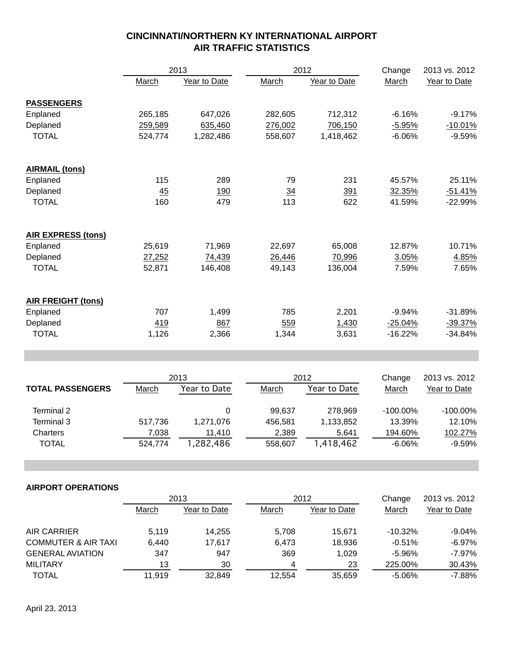|                           |         | 2013             | 2012       |              | Change         | 2013 vs. 2012 |
|---------------------------|---------|------------------|------------|--------------|----------------|---------------|
|                           | March   | Year to Date     | March      | Year to Date | March          | Year to Date  |
| <b>PASSENGERS</b>         |         |                  |            |              |                |               |
| Enplaned                  | 265,185 | 647,026          | 282,605    | 712,312      | $-6.16%$       | $-9.17%$      |
| Deplaned                  | 259,589 | 635,460          | 276,002    | 706,150      | $-5.95%$       | $-10.01%$     |
| <b>TOTAL</b>              | 524,774 | 1,282,486        | 558,607    | 1,418,462    | $-6.06%$       | $-9.59%$      |
| <b>AIRMAIL (tons)</b>     |         |                  |            |              |                |               |
| Enplaned                  | 115     | 289              | 79         | 231          | 45.57%         | 25.11%        |
| Deplaned                  | 45      | 190              | 34         | 391          | 32.35%         | $-51.41%$     |
| <b>TOTAL</b>              | 160     | 479              | 113        | 622          | 41.59%         | -22.99%       |
| <b>AIR EXPRESS (tons)</b> |         |                  |            |              |                |               |
| Enplaned                  | 25,619  | 71,969           | 22,697     | 65,008       | 12.87%         | 10.71%        |
| Deplaned                  | 27,252  | 74,439           | 26,446     | 70,996       | 3.05%          | 4.85%         |
| <b>TOTAL</b>              | 52,871  | 146,408          | 49,143     | 136,004      | 7.59%          | 7.65%         |
| <b>AIR FREIGHT (tons)</b> |         |                  |            |              |                |               |
| Enplaned                  | 707     | 1,499            | 785        | 2,201        | $-9.94%$       | $-31.89%$     |
| Deplaned                  | 419     | 867              | 559        | 1,430        | $-25.04%$      | $-39.37%$     |
| <b>TOTAL</b>              | 1,126   | 2,366            | 1,344      | 3,631        | $-16.22%$      | $-34.84%$     |
|                           |         |                  |            |              |                |               |
|                           |         | 2013             |            | 2012         |                | 2013 vs. 2012 |
| <b>TOTAL PASSENGERS</b>   | March   | Year to Date     | March      | Year to Date | March          | Year to Date  |
| Terminal 2                |         | $\boldsymbol{0}$ | 99,637     | 278,969      | -100.00%       | $-100.00\%$   |
| Terminal 3                | 517,736 | 1,271,076        | 456,581    | 1,133,852    | 13.39%         | 12.10%        |
| Charters                  | 7,038   | 11,410           | 2,389      | 5,641        | 194.60%        | 102.27%       |
| <b>TOTAL</b>              | 524,774 | 1,282,486        | 558,607    | 1,418,462    | $-6.06%$       | $-9.59%$      |
|                           |         |                  |            |              |                |               |
| <b>AIRPORT OPERATIONS</b> |         |                  |            |              |                |               |
|                           |         | 2013             |            | 2012         | Change         | 2013 vs. 2012 |
|                           | March   | Year to Date     | March      | Year to Date | March          | Year to Date  |
| $\overline{1}$            |         |                  | <b>700</b> |              | $\overline{2}$ | 0.0101        |

| AIR CARRIER         | 5.119  | 14.255 | 5.708  | 15.671 | $-10.32\%$ | $-9.04%$  |
|---------------------|--------|--------|--------|--------|------------|-----------|
| COMMUTER & AIR TAXI | 6.440  | 17.617 | 6.473  | 18.936 | $-0.51%$   | $-6.97\%$ |
| GENERAL AVIATION    | 347    | 947    | 369    | 1.029  | -5.96%     | -7.97%    |
| MILITARY            | 13     | 30     |        | 23     | 225.00%    | 30.43%    |
| <b>TOTAL</b>        | 11.919 | 32.849 | 12.554 | 35,659 | -5.06%     | $-7.88%$  |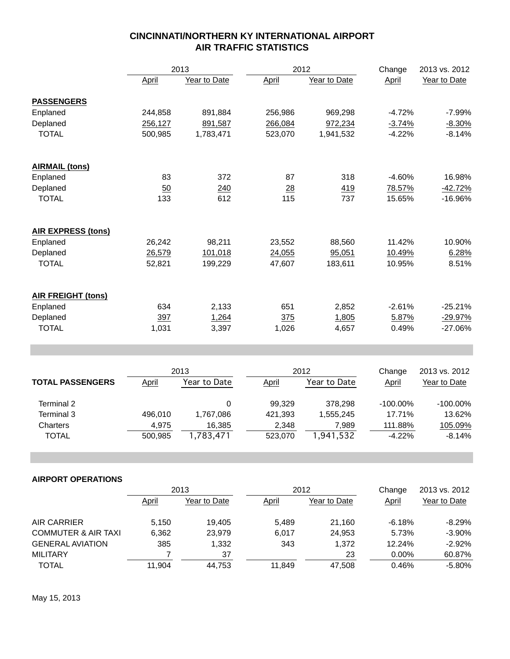|                           | 2013    |              |                | 2012         |              | 2013 vs. 2012 |
|---------------------------|---------|--------------|----------------|--------------|--------------|---------------|
|                           | April   | Year to Date | April          | Year to Date | <b>April</b> | Year to Date  |
| <b>PASSENGERS</b>         |         |              |                |              |              |               |
| Enplaned                  | 244,858 | 891,884      | 256,986        | 969,298      | $-4.72%$     | $-7.99%$      |
| Deplaned                  | 256,127 | 891,587      | 266,084        | 972,234      | $-3.74%$     | $-8.30%$      |
| <b>TOTAL</b>              | 500,985 | 1,783,471    | 523,070        | 1,941,532    | $-4.22%$     | $-8.14%$      |
| <b>AIRMAIL (tons)</b>     |         |              |                |              |              |               |
| Enplaned                  | 83      | 372          | 87             | 318          | $-4.60%$     | 16.98%        |
| Deplaned                  | 50      | <u>240</u>   | $\frac{28}{2}$ | 419          | 78.57%       | $-42.72%$     |
| <b>TOTAL</b>              | 133     | 612          | 115            | 737          | 15.65%       | $-16.96%$     |
| <b>AIR EXPRESS (tons)</b> |         |              |                |              |              |               |
| Enplaned                  | 26,242  | 98,211       | 23,552         | 88,560       | 11.42%       | 10.90%        |
| Deplaned                  | 26,579  | 101,018      | 24,055         | 95,051       | 10.49%       | 6.28%         |
| <b>TOTAL</b>              | 52,821  | 199,229      | 47,607         | 183,611      | 10.95%       | 8.51%         |
| <b>AIR FREIGHT (tons)</b> |         |              |                |              |              |               |
| Enplaned                  | 634     | 2,133        | 651            | 2,852        | $-2.61%$     | $-25.21%$     |
| Deplaned                  | 397     | 1,264        | 375            | 1,805        | 5.87%        | $-29.97%$     |
| <b>TOTAL</b>              | 1,031   | 3,397        | 1,026          | 4,657        | 0.49%        | $-27.06%$     |

|                         | 2013         |              | 2012         |              | Change      | 2013 vs. 2012 |
|-------------------------|--------------|--------------|--------------|--------------|-------------|---------------|
| <b>TOTAL PASSENGERS</b> | <b>April</b> | Year to Date | <b>April</b> | Year to Date | April       | Year to Date  |
| Terminal 2              |              | 0            | 99.329       | 378.298      | $-100.00\%$ | $-100.00\%$   |
| Terminal 3              | 496.010      | 1.767.086    | 421.393      | 1,555,245    | 17.71%      | 13.62%        |
| Charters                | 4.975        | 16.385       | 2,348        | 7.989        | 111.88%     | 105.09%       |
| TOTAL                   | 500.985      | 1,783,471    | 523.070      | 1,941,532    | $-4.22%$    | $-8.14%$      |

|                                | 2013   |              |        | 2012         |          | 2013 vs. 2012 |
|--------------------------------|--------|--------------|--------|--------------|----------|---------------|
|                                | April  | Year to Date | April  | Year to Date | April    | Year to Date  |
| AIR CARRIER                    | 5,150  | 19.405       | 5,489  | 21.160       | $-6.18%$ | $-8.29%$      |
| <b>COMMUTER &amp; AIR TAXI</b> | 6,362  | 23.979       | 6.017  | 24.953       | 5.73%    | $-3.90%$      |
| <b>GENERAL AVIATION</b>        | 385    | 1,332        | 343    | 1.372        | 12.24%   | $-2.92%$      |
| <b>MILITARY</b>                |        | 37           |        | 23           | $0.00\%$ | 60.87%        |
| <b>TOTAL</b>                   | 11.904 | 44.753       | 11.849 | 47,508       | 0.46%    | $-5.80\%$     |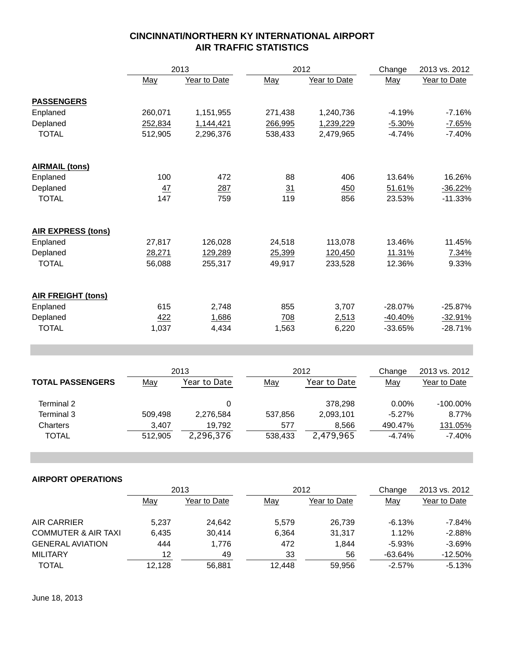|                           |         | 2013         |         | 2012         |           | 2013 vs. 2012 |
|---------------------------|---------|--------------|---------|--------------|-----------|---------------|
|                           | May     | Year to Date | May     | Year to Date | May       | Year to Date  |
| <b>PASSENGERS</b>         |         |              |         |              |           |               |
| Enplaned                  | 260,071 | 1,151,955    | 271,438 | 1,240,736    | $-4.19%$  | $-7.16%$      |
| Deplaned                  | 252,834 | 1,144,421    | 266,995 | 1,239,229    | $-5.30%$  | $-7.65%$      |
| <b>TOTAL</b>              | 512,905 | 2,296,376    | 538,433 | 2,479,965    | $-4.74%$  | $-7.40%$      |
| <b>AIRMAIL (tons)</b>     |         |              |         |              |           |               |
| Enplaned                  | 100     | 472          | 88      | 406          | 13.64%    | 16.26%        |
| Deplaned                  | 47      | 287          | 31      | 450          | 51.61%    | $-36.22%$     |
| <b>TOTAL</b>              | 147     | 759          | 119     | 856          | 23.53%    | $-11.33%$     |
| <b>AIR EXPRESS (tons)</b> |         |              |         |              |           |               |
| Enplaned                  | 27,817  | 126,028      | 24,518  | 113,078      | 13.46%    | 11.45%        |
| Deplaned                  | 28,271  | 129,289      | 25,399  | 120,450      | 11.31%    | 7.34%         |
| <b>TOTAL</b>              | 56,088  | 255,317      | 49,917  | 233,528      | 12.36%    | 9.33%         |
| <b>AIR FREIGHT (tons)</b> |         |              |         |              |           |               |
| Enplaned                  | 615     | 2,748        | 855     | 3,707        | $-28.07%$ | $-25.87%$     |
| Deplaned                  | 422     | 1,686        | 708     | 2,513        | $-40.40%$ | $-32.91%$     |
| <b>TOTAL</b>              | 1,037   | 4,434        | 1,563   | 6,220        | $-33.65%$ | $-28.71%$     |

|                         | 2013    |              |         | 2012         |          | 2013 vs. 2012 |
|-------------------------|---------|--------------|---------|--------------|----------|---------------|
| <b>TOTAL PASSENGERS</b> | May     | Year to Date | May     | Year to Date | May      | Year to Date  |
| Terminal 2              |         |              |         | 378.298      | $0.00\%$ | $-100.00\%$   |
| Terminal 3              | 509.498 | 2,276,584    | 537.856 | 2,093,101    | $-5.27%$ | 8.77%         |
| Charters                | 3,407   | 19.792       | 577     | 8,566        | 490.47%  | 131.05%       |
| TOTAL                   | 512.905 | 2,296,376    | 538.433 | 2,479,965    | $-4.74%$ | -7.40%        |

|                                | 2013   |              |        | 2012         |           | 2013 vs. 2012 |
|--------------------------------|--------|--------------|--------|--------------|-----------|---------------|
|                                | May    | Year to Date | May    | Year to Date | May       | Year to Date  |
| AIR CARRIER                    | 5,237  | 24,642       | 5.579  | 26,739       | $-6.13%$  | -7.84%        |
| <b>COMMUTER &amp; AIR TAXI</b> | 6.435  | 30.414       | 6.364  | 31.317       | 1.12%     | $-2.88%$      |
| <b>GENERAL AVIATION</b>        | 444    | 1,776        | 472    | 1.844        | $-5.93%$  | $-3.69%$      |
| <b>MILITARY</b>                | 12     | 49           | 33     | 56           | -63.64%   | $-12.50%$     |
| <b>TOTAL</b>                   | 12.128 | 56.881       | 12.448 | 59,956       | $-2.57\%$ | $-5.13%$      |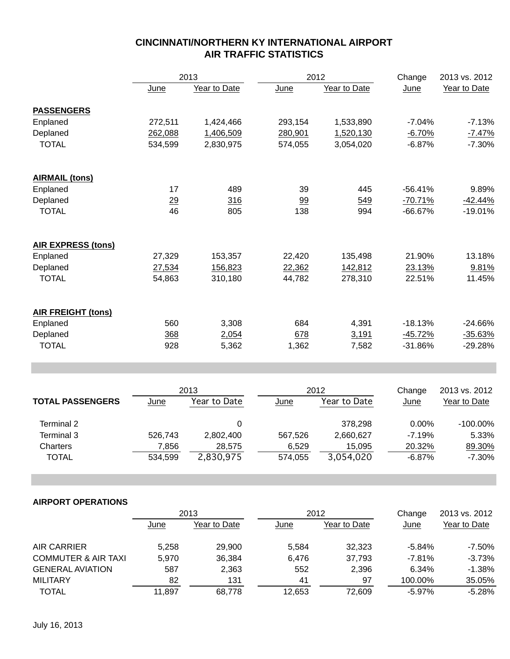|                           |             | 2013                 |             | 2012                 | Change                | 2013 vs. 2012                 |
|---------------------------|-------------|----------------------|-------------|----------------------|-----------------------|-------------------------------|
|                           | <b>June</b> | Year to Date         | <b>June</b> | Year to Date         | June                  | Year to Date                  |
|                           |             |                      |             |                      |                       |                               |
| <b>PASSENGERS</b>         |             |                      |             |                      |                       |                               |
| Enplaned                  | 272,511     | 1,424,466            | 293,154     | 1,533,890            | $-7.04%$              | $-7.13%$                      |
| Deplaned                  | 262,088     | 1,406,509            | 280,901     | 1,520,130            | $-6.70%$              | $-7.47%$                      |
| <b>TOTAL</b>              | 534,599     | 2,830,975            | 574,055     | 3,054,020            | $-6.87%$              | $-7.30%$                      |
| <b>AIRMAIL (tons)</b>     |             |                      |             |                      |                       |                               |
| Enplaned                  | 17          | 489                  | 39          | 445                  | $-56.41%$             | 9.89%                         |
| Deplaned                  | 29          | 316                  | 99          | 549                  | $-70.71%$             | $-42.44%$                     |
| <b>TOTAL</b>              | 46          | 805                  | 138         | 994                  | $-66.67%$             | $-19.01%$                     |
| <b>AIR EXPRESS (tons)</b> |             |                      |             |                      |                       |                               |
| Enplaned                  | 27,329      | 153,357              | 22,420      | 135,498              | 21.90%                | 13.18%                        |
| Deplaned                  | 27,534      | 156,823              | 22,362      | 142,812              | 23.13%                | 9.81%                         |
| <b>TOTAL</b>              | 54,863      | 310,180              | 44,782      | 278,310              | 22.51%                | 11.45%                        |
|                           |             |                      |             |                      |                       |                               |
| <b>AIR FREIGHT (tons)</b> |             |                      |             |                      |                       |                               |
| Enplaned                  | 560         | 3,308                | 684         | 4,391                | $-18.13%$             | $-24.66%$                     |
| Deplaned                  | 368         | 2,054                | 678         | 3,191                | $-45.72%$             | $-35.63%$                     |
| <b>TOTAL</b>              | 928         | 5,362                | 1,362       | 7,582                | $-31.86%$             | $-29.28%$                     |
|                           |             |                      |             |                      |                       |                               |
|                           |             | 2013                 |             | 2012                 |                       | 2013 vs. 2012                 |
| <b>TOTAL PASSENGERS</b>   | June        | Year to Date         | June        | Year to Date         | June                  | Year to Date                  |
| Terminal 2                |             | 0                    |             | 378,298              | 0.00%                 | $-100.00\%$                   |
| Terminal 3                | 526,743     | 2,802,400            | 567,526     | 2,660,627            | $-7.19%$              | 5.33%                         |
| Charters                  | 7,856       | 28,575               | 6,529       | 15,095               | 20.32%                | 89.30%                        |
| <b>TOTAL</b>              | 534,599     | 2,830,975            | 574,055     | 3,054,020            | $-6.87%$              | $-7.30%$                      |
|                           |             |                      |             |                      |                       |                               |
| <b>AIRPORT OPERATIONS</b> |             |                      |             |                      |                       |                               |
|                           | <u>June</u> | 2013<br>Year to Date | <u>June</u> | 2012<br>Year to Date | Change<br><b>June</b> | 2013 vs. 2012<br>Year to Date |
|                           |             |                      |             |                      |                       |                               |

| AIR CARRIER                    | 5.258  | 29,900 | 5.584  | 32.323 | $-5.84\%$ | $-7.50\%$ |
|--------------------------------|--------|--------|--------|--------|-----------|-----------|
| <b>COMMUTER &amp; AIR TAXI</b> | 5.970  | 36.384 | 6.476  | 37.793 | $-7.81%$  | $-3.73%$  |
| <b>GENERAL AVIATION</b>        | 587    | 2,363  | 552    | 2.396  | $6.34\%$  | $-1.38\%$ |
| MILITARY                       | 82     | 131    | 41     | 97     | 100.00%   | 35.05%    |
| TOTAL                          | 11.897 | 68.778 | 12.653 | 72.609 | $-5.97\%$ | $-5.28%$  |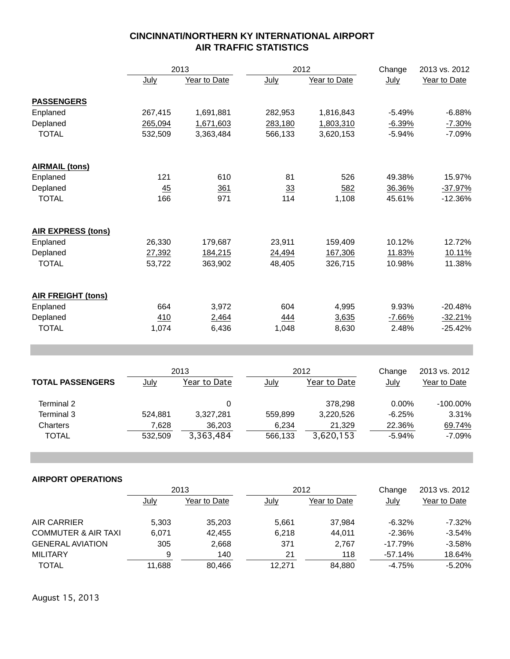|                           | 2013    |              |         | 2012         | Change   | 2013 vs. 2012 |
|---------------------------|---------|--------------|---------|--------------|----------|---------------|
|                           | July    | Year to Date | July    | Year to Date | July     | Year to Date  |
| <b>PASSENGERS</b>         |         |              |         |              |          |               |
| Enplaned                  | 267,415 | 1,691,881    | 282,953 | 1,816,843    | $-5.49%$ | $-6.88%$      |
| Deplaned                  | 265,094 | 1,671,603    | 283,180 | 1,803,310    | $-6.39%$ | $-7.30%$      |
| <b>TOTAL</b>              | 532,509 | 3,363,484    | 566,133 | 3,620,153    | $-5.94%$ | $-7.09%$      |
| <b>AIRMAIL (tons)</b>     |         |              |         |              |          |               |
| Enplaned                  | 121     | 610          | 81      | 526          | 49.38%   | 15.97%        |
| Deplaned                  | 45      | 361          | 33      | 582          | 36.36%   | $-37.97%$     |
| <b>TOTAL</b>              | 166     | 971          | 114     | 1,108        | 45.61%   | $-12.36%$     |
| AIR EXPRESS (tons)        |         |              |         |              |          |               |
| Enplaned                  | 26,330  | 179,687      | 23,911  | 159,409      | 10.12%   | 12.72%        |
| Deplaned                  | 27,392  | 184,215      | 24,494  | 167,306      | 11.83%   | 10.11%        |
| <b>TOTAL</b>              | 53,722  | 363,902      | 48,405  | 326,715      | 10.98%   | 11.38%        |
| <b>AIR FREIGHT (tons)</b> |         |              |         |              |          |               |
| Enplaned                  | 664     | 3,972        | 604     | 4,995        | 9.93%    | $-20.48%$     |
| Deplaned                  | 410     | 2,464        | 444     | 3,635        | $-7.66%$ | $-32.21%$     |
| <b>TOTAL</b>              | 1,074   | 6,436        | 1,048   | 8,630        | 2.48%    | $-25.42%$     |

|                         | 2013    |              | 2012    |              | Change   | 2013 vs. 2012 |
|-------------------------|---------|--------------|---------|--------------|----------|---------------|
| <b>TOTAL PASSENGERS</b> | July    | Year to Date | July    | Year to Date | July     | Year to Date  |
| Terminal 2              |         |              |         | 378.298      | $0.00\%$ | $-100.00\%$   |
| Terminal 3              | 524.881 | 3.327.281    | 559.899 | 3.220.526    | $-6.25%$ | 3.31%         |
| Charters                | 7,628   | 36.203       | 6,234   | 21.329       | 22.36%   | 69.74%        |
| TOTAL                   | 532.509 | 3,363,484    | 566.133 | 3,620,153    | $-5.94%$ | $-7.09%$      |

### **AIRPORT OPERATIONS**

|                                | 2013        |              |        | 2012         |           | 2013 vs. 2012 |
|--------------------------------|-------------|--------------|--------|--------------|-----------|---------------|
|                                | <u>July</u> | Year to Date | July   | Year to Date | July      | Year to Date  |
| AIR CARRIER                    | 5,303       | 35,203       | 5,661  | 37.984       | $-6.32%$  | $-7.32%$      |
| <b>COMMUTER &amp; AIR TAXI</b> | 6.071       | 42.455       | 6,218  | 44.011       | $-2.36%$  | $-3.54%$      |
| <b>GENERAL AVIATION</b>        | 305         | 2,668        | 371    | 2.767        | $-17.79%$ | $-3.58%$      |
| <b>MILITARY</b>                | 9           | 140          | 21     | 118          | $-57.14%$ | 18.64%        |
| <b>TOTAL</b>                   | 11,688      | 80.466       | 12.271 | 84,880       | $-4.75%$  | $-5.20%$      |

August 15, 2013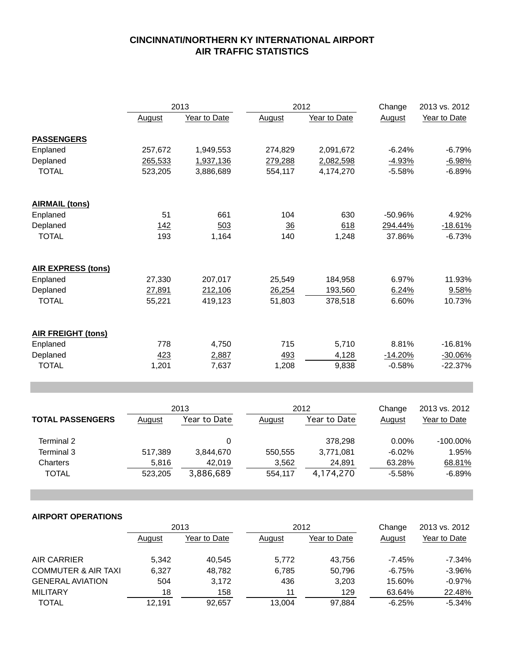|                           | 2013    |              |         | 2012         |           | 2013 vs. 2012 |
|---------------------------|---------|--------------|---------|--------------|-----------|---------------|
|                           | August  | Year to Date | August  | Year to Date | August    | Year to Date  |
| <b>PASSENGERS</b>         |         |              |         |              |           |               |
| Enplaned                  | 257,672 | 1,949,553    | 274,829 | 2,091,672    | $-6.24%$  | $-6.79%$      |
| Deplaned                  | 265,533 | 1,937,136    | 279,288 | 2,082,598    | $-4.93%$  | $-6.98%$      |
| <b>TOTAL</b>              | 523,205 | 3,886,689    | 554,117 | 4,174,270    | $-5.58%$  | $-6.89%$      |
| <b>AIRMAIL (tons)</b>     |         |              |         |              |           |               |
| Enplaned                  | 51      | 661          | 104     | 630          | $-50.96%$ | 4.92%         |
| Deplaned                  | 142     | 503          | 36      | 618          | 294.44%   | $-18.61%$     |
| <b>TOTAL</b>              | 193     | 1,164        | 140     | 1,248        | 37.86%    | $-6.73%$      |
| <b>AIR EXPRESS (tons)</b> |         |              |         |              |           |               |
| Enplaned                  | 27,330  | 207,017      | 25,549  | 184,958      | 6.97%     | 11.93%        |
| Deplaned                  | 27,891  | 212,106      | 26,254  | 193,560      | 6.24%     | 9.58%         |
| <b>TOTAL</b>              | 55,221  | 419,123      | 51,803  | 378,518      | 6.60%     | 10.73%        |
| <b>AIR FREIGHT (tons)</b> |         |              |         |              |           |               |
| Enplaned                  | 778     | 4,750        | 715     | 5,710        | 8.81%     | $-16.81%$     |
| Deplaned                  | 423     | 2,887        | 493     | 4,128        | $-14.20%$ | $-30.06%$     |
| <b>TOTAL</b>              | 1,201   | 7,637        | 1,208   | 9,838        | $-0.58%$  | $-22.37%$     |

|                         | 2013    |              | 2012          |              | Change   | 2013 vs. 2012 |  |
|-------------------------|---------|--------------|---------------|--------------|----------|---------------|--|
| <b>TOTAL PASSENGERS</b> | August  | Year to Date | <b>August</b> | Year to Date | August   | Year to Date  |  |
| Terminal 2              |         |              |               | 378.298      | $0.00\%$ | $-100.00\%$   |  |
| Terminal 3              | 517,389 | 3,844,670    | 550.555       | 3,771,081    | $-6.02%$ | 1.95%         |  |
| Charters                | 5,816   | 42,019       | 3,562         | 24,891       | 63.28%   | 68.81%        |  |
| TOTAL                   | 523.205 | 3,886,689    | 554.117       | 4,174,270    | $-5.58%$ | $-6.89%$      |  |

|                                | 2013   |              | 2012   |              | Change   | 2013 vs. 2012 |
|--------------------------------|--------|--------------|--------|--------------|----------|---------------|
|                                | August | Year to Date | August | Year to Date | August   | Year to Date  |
| <b>AIR CARRIER</b>             | 5,342  | 40.545       | 5,772  | 43.756       | $-7.45%$ | $-7.34%$      |
| <b>COMMUTER &amp; AIR TAXI</b> | 6.327  | 48,782       | 6,785  | 50.796       | $-6.75%$ | $-3.96%$      |
| <b>GENERAL AVIATION</b>        | 504    | 3,172        | 436    | 3,203        | 15.60%   | $-0.97%$      |
| <b>MILITARY</b>                | 18     | 158          | 11     | 129          | 63.64%   | 22.48%        |
| <b>TOTAL</b>                   | 12.191 | 92.657       | 13,004 | 97,884       | $-6.25%$ | $-5.34%$      |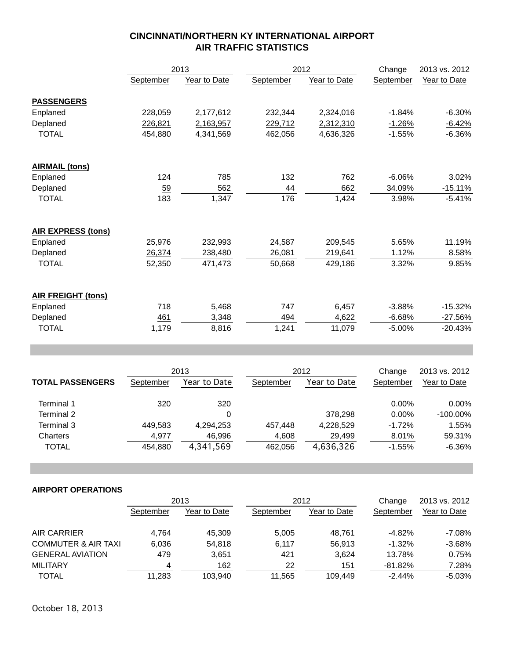|                           | 2013      |              |           | 2012         |           | 2013 vs. 2012 |
|---------------------------|-----------|--------------|-----------|--------------|-----------|---------------|
|                           | September | Year to Date | September | Year to Date | September | Year to Date  |
| <b>PASSENGERS</b>         |           |              |           |              |           |               |
| Enplaned                  | 228,059   | 2,177,612    | 232,344   | 2,324,016    | $-1.84%$  | $-6.30%$      |
| Deplaned                  | 226,821   | 2,163,957    | 229,712   | 2,312,310    | $-1.26%$  | $-6.42%$      |
| <b>TOTAL</b>              | 454.880   | 4,341,569    | 462,056   | 4,636,326    | $-1.55%$  | $-6.36%$      |
| <b>AIRMAIL (tons)</b>     |           |              |           |              |           |               |
| Enplaned                  | 124       | 785          | 132       | 762          | $-6.06%$  | 3.02%         |
| Deplaned                  | 59        | 562          | 44        | 662          | 34.09%    | $-15.11%$     |
| <b>TOTAL</b>              | 183       | 1,347        | 176       | 1,424        | 3.98%     | $-5.41%$      |
| <b>AIR EXPRESS (tons)</b> |           |              |           |              |           |               |
| Enplaned                  | 25,976    | 232,993      | 24,587    | 209,545      | 5.65%     | 11.19%        |
| Deplaned                  | 26,374    | 238,480      | 26,081    | 219,641      | 1.12%     | 8.58%         |
| <b>TOTAL</b>              | 52,350    | 471,473      | 50,668    | 429,186      | 3.32%     | 9.85%         |
| <b>AIR FREIGHT (tons)</b> |           |              |           |              |           |               |
| Enplaned                  | 718       | 5,468        | 747       | 6,457        | $-3.88%$  | $-15.32%$     |
| Deplaned                  | 461       | 3,348        | 494       | 4,622        | $-6.68%$  | $-27.56%$     |
| <b>TOTAL</b>              | 1,179     | 8,816        | 1,241     | 11,079       | $-5.00%$  | $-20.43%$     |

|                         | 2013      |              | 2012      |              | Change    | 2013 vs. 2012 |  |
|-------------------------|-----------|--------------|-----------|--------------|-----------|---------------|--|
| <b>TOTAL PASSENGERS</b> | September | Year to Date | September | Year to Date | September | Year to Date  |  |
| Terminal 1              | 320       | 320          |           |              | $0.00\%$  | 0.00%         |  |
| Terminal 2              |           | 0            |           | 378.298      | $0.00\%$  | $-100.00\%$   |  |
| Terminal 3              | 449,583   | 4,294,253    | 457.448   | 4,228,529    | $-1.72%$  | 1.55%         |  |
| Charters                | 4.977     | 46,996       | 4,608     | 29.499       | 8.01%     | 59.31%        |  |
| <b>TOTAL</b>            | 454.880   | 4,341,569    | 462.056   | 4,636,326    | $-1.55%$  | $-6.36%$      |  |

|                                | 2013      |              | 2012      |              | Change     | 2013 vs. 2012 |
|--------------------------------|-----------|--------------|-----------|--------------|------------|---------------|
|                                | September | Year to Date | September | Year to Date | September  | Year to Date  |
| AIR CARRIER                    | 4.764     | 45.309       | 5,005     | 48.761       | $-4.82%$   | $-7.08%$      |
| <b>COMMUTER &amp; AIR TAXI</b> | 6.036     | 54,818       | 6,117     | 56.913       | $-1.32%$   | $-3.68%$      |
| <b>GENERAL AVIATION</b>        | 479       | 3.651        | 421       | 3.624        | 13.78%     | 0.75%         |
| <b>MILITARY</b>                | 4         | 162          | 22        | 151          | $-81.82\%$ | 7.28%         |
| <b>TOTAL</b>                   | 11.283    | 103.940      | 11.565    | 109.449      | $-2.44\%$  | $-5.03\%$     |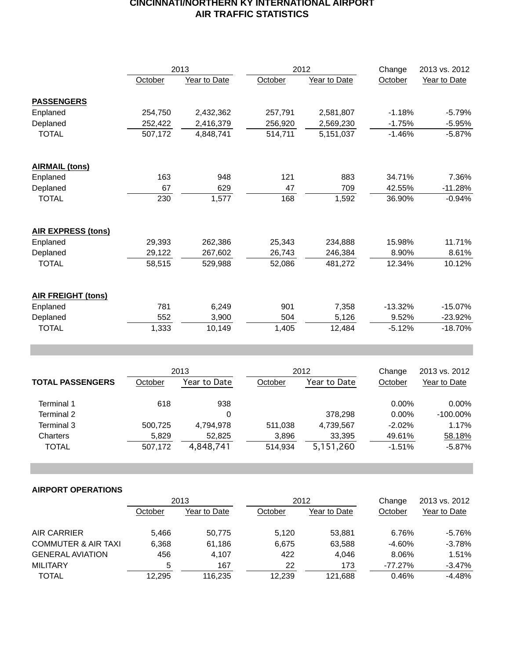|                           | 2013    |              | 2012    |              | Change    | 2013 vs. 2012 |
|---------------------------|---------|--------------|---------|--------------|-----------|---------------|
|                           | October | Year to Date | October | Year to Date | October   | Year to Date  |
| <b>PASSENGERS</b>         |         |              |         |              |           |               |
| Enplaned                  | 254,750 | 2,432,362    | 257,791 | 2,581,807    | $-1.18%$  | $-5.79%$      |
| Deplaned                  | 252,422 | 2,416,379    | 256,920 | 2,569,230    | $-1.75%$  | $-5.95%$      |
| <b>TOTAL</b>              | 507,172 | 4,848,741    | 514,711 | 5,151,037    | $-1.46%$  | $-5.87%$      |
| <b>AIRMAIL (tons)</b>     |         |              |         |              |           |               |
| Enplaned                  | 163     | 948          | 121     | 883          | 34.71%    | 7.36%         |
| Deplaned                  | 67      | 629          | 47      | 709          | 42.55%    | $-11.28%$     |
| <b>TOTAL</b>              | 230     | 1,577        | 168     | 1,592        | 36.90%    | $-0.94%$      |
| <b>AIR EXPRESS (tons)</b> |         |              |         |              |           |               |
| Enplaned                  | 29,393  | 262,386      | 25,343  | 234,888      | 15.98%    | 11.71%        |
| Deplaned                  | 29,122  | 267,602      | 26,743  | 246,384      | 8.90%     | 8.61%         |
| <b>TOTAL</b>              | 58,515  | 529,988      | 52,086  | 481,272      | 12.34%    | 10.12%        |
| <b>AIR FREIGHT (tons)</b> |         |              |         |              |           |               |
| Enplaned                  | 781     | 6,249        | 901     | 7,358        | $-13.32%$ | $-15.07\%$    |
| Deplaned                  | 552     | 3,900        | 504     | 5,126        | 9.52%     | $-23.92%$     |
| <b>TOTAL</b>              | 1,333   | 10,149       | 1,405   | 12,484       | $-5.12%$  | $-18.70%$     |

|                         | 2013    |              | 2012    |              | Change   | 2013 vs. 2012 |
|-------------------------|---------|--------------|---------|--------------|----------|---------------|
| <b>TOTAL PASSENGERS</b> | October | Year to Date | October | Year to Date | October  | Year to Date  |
| Terminal 1              | 618     | 938          |         |              | $0.00\%$ | $0.00\%$      |
| Terminal 2              |         | 0            |         | 378,298      | $0.00\%$ | $-100.00\%$   |
| Terminal 3              | 500,725 | 4,794,978    | 511,038 | 4,739,567    | $-2.02%$ | 1.17%         |
| Charters                | 5,829   | 52.825       | 3,896   | 33,395       | 49.61%   | 58.18%        |
| <b>TOTAL</b>            | 507,172 | 4,848,741    | 514.934 | 5,151,260    | $-1.51%$ | $-5.87%$      |

|                                | 2013    |              | 2012    |              | Change    | 2013 vs. 2012 |
|--------------------------------|---------|--------------|---------|--------------|-----------|---------------|
|                                | October | Year to Date | October | Year to Date | October   | Year to Date  |
| AIR CARRIER                    | 5.466   | 50,775       | 5.120   | 53.881       | 6.76%     | -5.76%        |
| <b>COMMUTER &amp; AIR TAXI</b> | 6,368   | 61,186       | 6.675   | 63,588       | $-4.60%$  | $-3.78%$      |
| <b>GENERAL AVIATION</b>        | 456     | 4,107        | 422     | 4.046        | 8.06%     | 1.51%         |
| <b>MILITARY</b>                | 5       | 167          | 22      | 173          | $-77.27%$ | $-3.47%$      |
| <b>TOTAL</b>                   | 12,295  | 116,235      | 12,239  | 121,688      | 0.46%     | $-4.48%$      |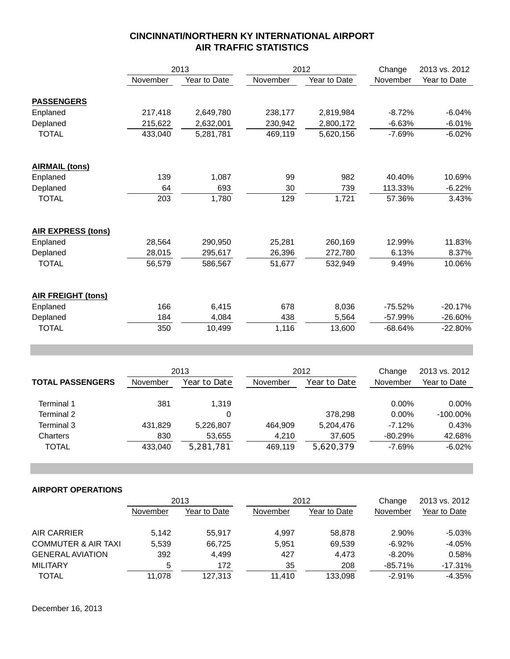|                           | 2013     |              |          | 2012         | Change    | 2013 vs. 2012 |
|---------------------------|----------|--------------|----------|--------------|-----------|---------------|
|                           | November | Year to Date | November | Year to Date | November  | Year to Date  |
| <b>PASSENGERS</b>         |          |              |          |              |           |               |
| Enplaned                  | 217,418  | 2,649,780    | 238,177  | 2,819,984    | $-8.72%$  | $-6.04%$      |
| Deplaned                  | 215,622  | 2,632,001    | 230,942  | 2,800,172    | $-6.63%$  | $-6.01%$      |
| <b>TOTAL</b>              | 433,040  | 5,281,781    | 469,119  | 5,620,156    | $-7.69%$  | $-6.02%$      |
| <b>AIRMAIL (tons)</b>     |          |              |          |              |           |               |
| Enplaned                  | 139      | 1,087        | 99       | 982          | 40.40%    | 10.69%        |
| Deplaned                  | 64       | 693          | 30       | 739          | 113.33%   | $-6.22%$      |
| <b>TOTAL</b>              | 203      | 1,780        | 129      | 1,721        | 57.36%    | 3.43%         |
| <b>AIR EXPRESS (tons)</b> |          |              |          |              |           |               |
| Enplaned                  | 28,564   | 290,950      | 25,281   | 260,169      | 12.99%    | 11.83%        |
| Deplaned                  | 28,015   | 295,617      | 26,396   | 272,780      | 6.13%     | 8.37%         |
| <b>TOTAL</b>              | 56,579   | 586,567      | 51,677   | 532,949      | 9.49%     | 10.06%        |
| <b>AIR FREIGHT (tons)</b> |          |              |          |              |           |               |
| Enplaned                  | 166      | 6,415        | 678      | 8,036        | $-75.52%$ | $-20.17%$     |
| Deplaned                  | 184      | 4,084        | 438      | 5,564        | -57.99%   | $-26.60%$     |
| <b>TOTAL</b>              | 350      | 10,499       | 1,116    | 13,600       | $-68.64%$ | $-22.80%$     |

|                         |          | 2013         | 2012     |              | Change    | 2013 vs. 2012 |
|-------------------------|----------|--------------|----------|--------------|-----------|---------------|
| <b>TOTAL PASSENGERS</b> | November | Year to Date | November | Year to Date | November  | Year to Date  |
|                         |          |              |          |              |           |               |
| Terminal 1              | 381      | 1.319        |          |              | $0.00\%$  | $0.00\%$      |
| Terminal 2              |          | 0            |          | 378.298      | $0.00\%$  | $-100.00\%$   |
| Terminal 3              | 431.829  | 5,226,807    | 464.909  | 5,204,476    | $-7.12%$  | 0.43%         |
| Charters                | 830      | 53,655       | 4.210    | 37,605       | $-80.29%$ | 42.68%        |
| TOTAL                   | 433.040  | 5,281,781    | 469.119  | 5.620.379    | $-7.69%$  | $-6.02%$      |

|                                | 2013     |              | 2012     |              | Change    | 2013 vs. 2012 |
|--------------------------------|----------|--------------|----------|--------------|-----------|---------------|
|                                | November | Year to Date | November | Year to Date | November  | Year to Date  |
| AIR CARRIER                    | 5,142    | 55.917       | 4.997    | 58,878       | 2.90%     | -5.03%        |
| <b>COMMUTER &amp; AIR TAXI</b> | 5,539    | 66,725       | 5.951    | 69,539       | $-6.92%$  | $-4.05%$      |
| <b>GENERAL AVIATION</b>        | 392      | 4.499        | 427      | 4.473        | $-8.20%$  | 0.58%         |
| <b>MILITARY</b>                | 5        | 172          | 35       | 208          | $-85.71%$ | -17.31%       |
| <b>TOTAL</b>                   | 11.078   | 127.313      | 11.410   | 133.098      | $-2.91%$  | $-4.35%$      |